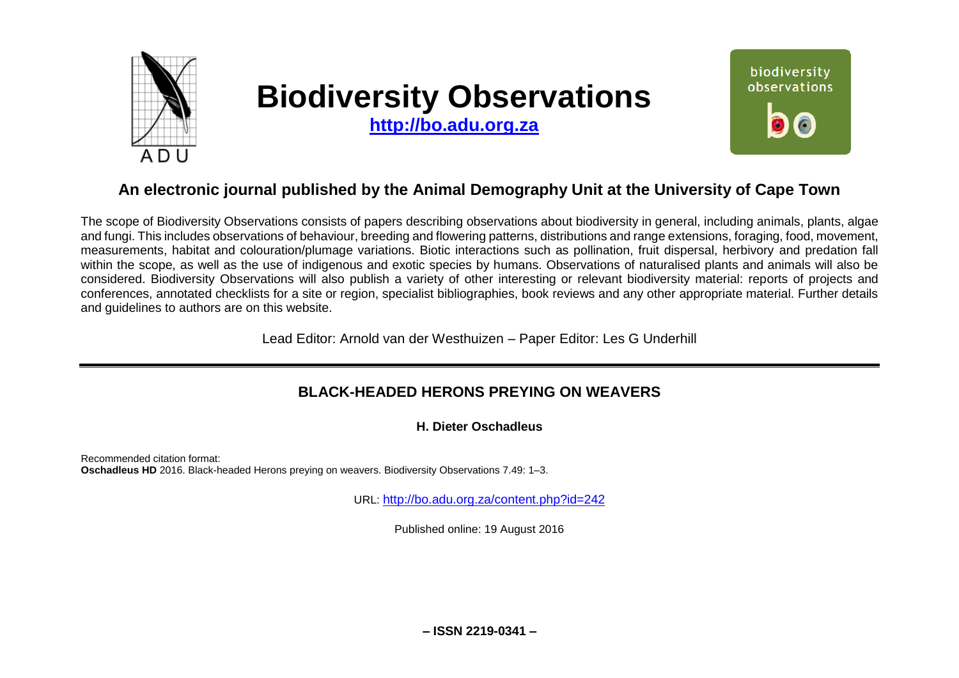

# **Biodiversity Observations**

**[http://bo.adu.org.za](http://bo.adu.org.za/)**



# **An electronic journal published by the Animal Demography Unit at the University of Cape Town**

The scope of Biodiversity Observations consists of papers describing observations about biodiversity in general, including animals, plants, algae and fungi. This includes observations of behaviour, breeding and flowering patterns, distributions and range extensions, foraging, food, movement, measurements, habitat and colouration/plumage variations. Biotic interactions such as pollination, fruit dispersal, herbivory and predation fall within the scope, as well as the use of indigenous and exotic species by humans. Observations of naturalised plants and animals will also be considered. Biodiversity Observations will also publish a variety of other interesting or relevant biodiversity material: reports of projects and conferences, annotated checklists for a site or region, specialist bibliographies, book reviews and any other appropriate material. Further details and guidelines to authors are on this website.

Lead Editor: Arnold van der Westhuizen – Paper Editor: Les G Underhill

## **BLACK-HEADED HERONS PREYING ON WEAVERS**

**H. Dieter Oschadleus** 

Recommended citation format: **Oschadleus HD** 2016. Black-headed Herons preying on weavers. Biodiversity Observations 7.49: 1–3.

URL: <http://bo.adu.org.za/content.php?id=242>

Published online: 19 August 2016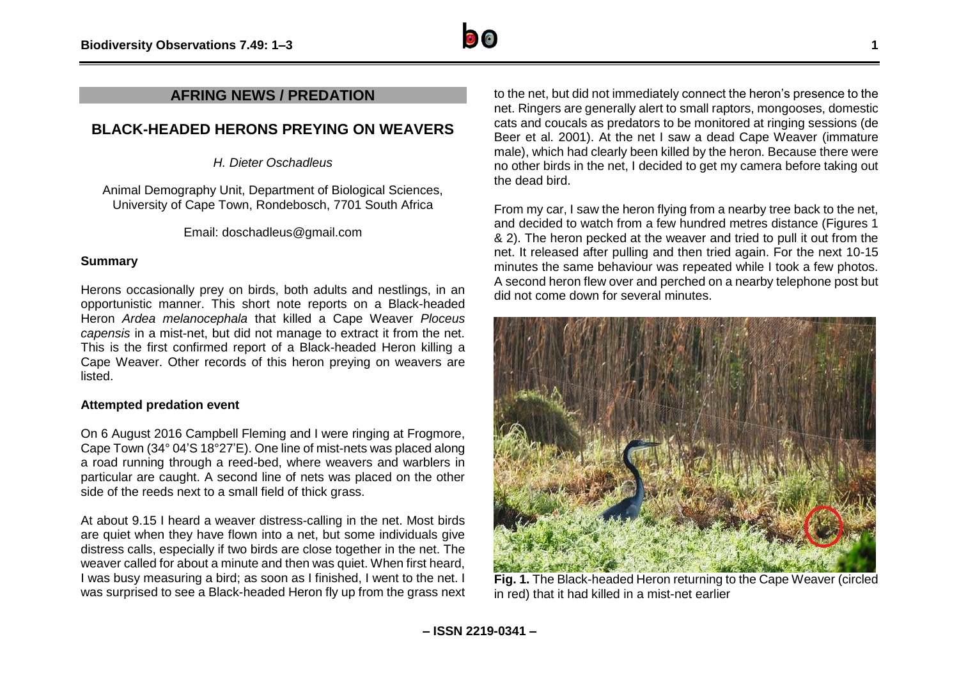### **AFRING NEWS / PREDATION**

## **BLACK-HEADED HERONS PREYING ON WEAVERS**

*H. Dieter Oschadleus*

Animal Demography Unit, Department of Biological Sciences, University of Cape Town, Rondebosch, 7701 South Africa

Email: doschadleus@gmail.com

#### **Summary**

Herons occasionally prey on birds, both adults and nestlings, in an opportunistic manner. This short note reports on a Black-headed Heron *Ardea melanocephala* that killed a Cape Weaver *Ploceus capensis* in a mist-net, but did not manage to extract it from the net. This is the first confirmed report of a Black-headed Heron killing a Cape Weaver. Other records of this heron preying on weavers are listed.

#### **Attempted predation event**

On 6 August 2016 Campbell Fleming and I were ringing at Frogmore, Cape Town (34° 04'S 18°27'E). One line of mist-nets was placed along a road running through a reed-bed, where weavers and warblers in particular are caught. A second line of nets was placed on the other side of the reeds next to a small field of thick grass.

At about 9.15 I heard a weaver distress-calling in the net. Most birds are quiet when they have flown into a net, but some individuals give distress calls, especially if two birds are close together in the net. The weaver called for about a minute and then was quiet. When first heard, I was busy measuring a bird; as soon as I finished, I went to the net. I was surprised to see a Black-headed Heron fly up from the grass next to the net, but did not immediately connect the heron's presence to the net. Ringers are generally alert to small raptors, mongooses, domestic cats and coucals as predators to be monitored at ringing sessions (de Beer et al. 2001). At the net I saw a dead Cape Weaver (immature male), which had clearly been killed by the heron. Because there were no other birds in the net, I decided to get my camera before taking out the dead bird.

From my car, I saw the heron flying from a nearby tree back to the net, and decided to watch from a few hundred metres distance (Figures 1 & 2). The heron pecked at the weaver and tried to pull it out from the net. It released after pulling and then tried again. For the next 10-15 minutes the same behaviour was repeated while I took a few photos. A second heron flew over and perched on a nearby telephone post but did not come down for several minutes.



**Fig. 1.** The Black-headed Heron returning to the Cape Weaver (circled in red) that it had killed in a mist-net earlier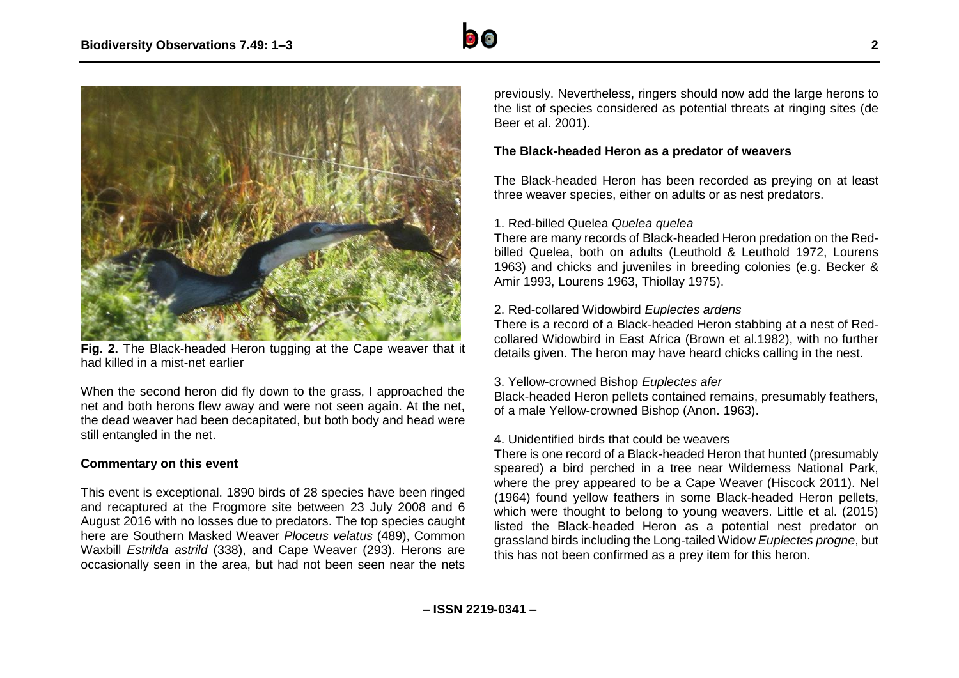



**Fig. 2.** The Black-headed Heron tugging at the Cape weaver that it had killed in a mist-net earlier

When the second heron did fly down to the grass, I approached the net and both herons flew away and were not seen again. At the net, the dead weaver had been decapitated, but both body and head were still entangled in the net.

#### **Commentary on this event**

This event is exceptional. 1890 birds of 28 species have been ringed and recaptured at the Frogmore site between 23 July 2008 and 6 August 2016 with no losses due to predators. The top species caught here are Southern Masked Weaver *Ploceus velatus* (489), Common Waxbill *Estrilda astrild* (338), and Cape Weaver (293). Herons are occasionally seen in the area, but had not been seen near the nets

previously. Nevertheless, ringers should now add the large herons to the list of species considered as potential threats at ringing sites (de Beer et al. 2001).

#### **The Black-headed Heron as a predator of weavers**

The Black-headed Heron has been recorded as preying on at least three weaver species, either on adults or as nest predators.

#### 1. Red-billed Quelea *Quelea quelea*

There are many records of Black-headed Heron predation on the Redbilled Quelea, both on adults (Leuthold & Leuthold 1972, Lourens 1963) and chicks and juveniles in breeding colonies (e.g. Becker & Amir 1993, Lourens 1963, Thiollay 1975).

#### 2. Red-collared Widowbird *Euplectes ardens*

There is a record of a Black-headed Heron stabbing at a nest of Redcollared Widowbird in East Africa (Brown et al.1982), with no further details given. The heron may have heard chicks calling in the nest.

#### 3. Yellow-crowned Bishop *Euplectes afer*

Black-headed Heron pellets contained remains, presumably feathers, of a male Yellow-crowned Bishop (Anon. 1963).

#### 4. Unidentified birds that could be weavers

There is one record of a Black-headed Heron that hunted (presumably speared) a bird perched in a tree near Wilderness National Park, where the prey appeared to be a Cape Weaver (Hiscock 2011). Nel (1964) found yellow feathers in some Black-headed Heron pellets, which were thought to belong to young weavers. Little et al. (2015) listed the Black-headed Heron as a potential nest predator on grassland birds including the Long-tailed Widow *Euplectes progne*, but this has not been confirmed as a prey item for this heron.